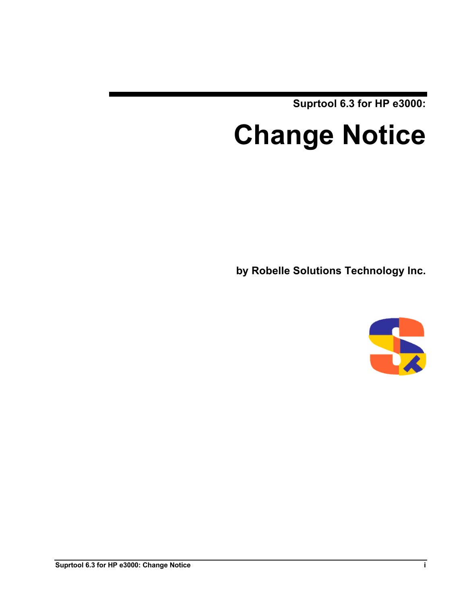**Suprtool 6.3 for HP e3000:**

# **Change Notice**

**by Robelle Solutions Technology Inc.**

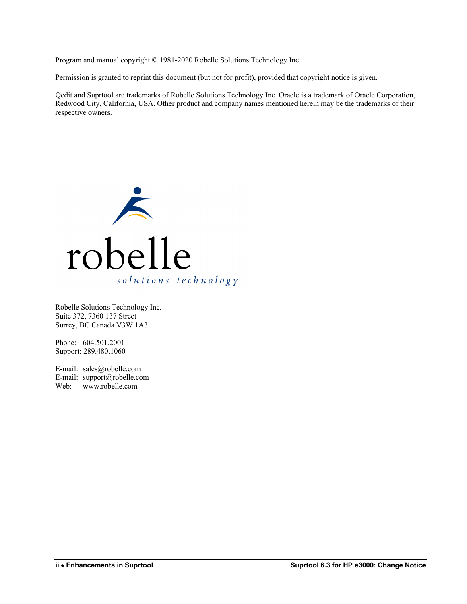Program and manual copyright © 1981-2020 Robelle Solutions Technology Inc.

Permission is granted to reprint this document (but not for profit), provided that copyright notice is given.

Qedit and Suprtool are trademarks of Robelle Solutions Technology Inc. Oracle is a trademark of Oracle Corporation, Redwood City, California, USA. Other product and company names mentioned herein may be the trademarks of their respective owners.



Robelle Solutions Technology Inc. Suite 372, 7360 137 Street Surrey, BC Canada V3W 1A3

Phone: 604.501.2001 Support: 289.480.1060

E-mail: sales@robelle.com E-mail: support@robelle.com Web: www.robelle.com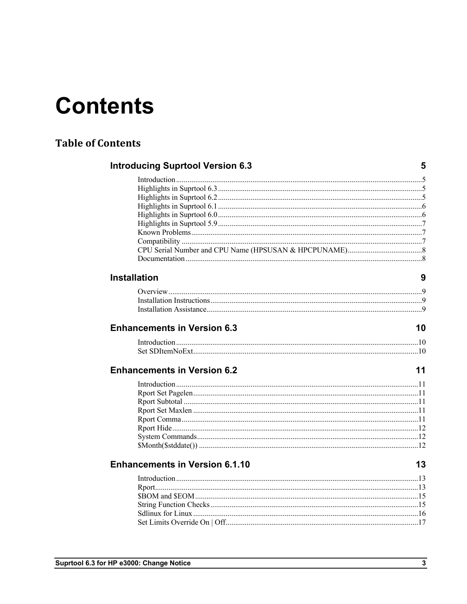## **Contents**

#### **Table of Contents**

| <b>Introducing Suprtool Version 6.3</b> | 5  |
|-----------------------------------------|----|
|                                         |    |
|                                         |    |
|                                         |    |
|                                         |    |
|                                         |    |
|                                         |    |
|                                         |    |
|                                         |    |
|                                         |    |
|                                         |    |
| <b>Installation</b>                     | 9  |
|                                         |    |
|                                         |    |
|                                         |    |
| <b>Enhancements in Version 6.3</b>      | 10 |
|                                         |    |
|                                         |    |
| <b>Enhancements in Version 6.2</b>      | 11 |
|                                         |    |
|                                         |    |
|                                         |    |
|                                         |    |
|                                         |    |
|                                         |    |
|                                         |    |
|                                         |    |
| <b>Enhancements in Version 6.1.10</b>   | 13 |
|                                         |    |
|                                         |    |
|                                         |    |
|                                         |    |
|                                         |    |
|                                         |    |
|                                         |    |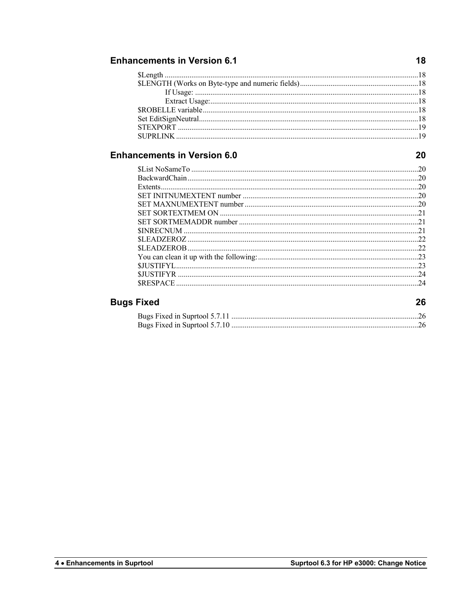#### **Enhancements in Version 6.1**

#### **Enhancements in Version 6.0**

#### **Bugs Fixed**

#### 18

20

26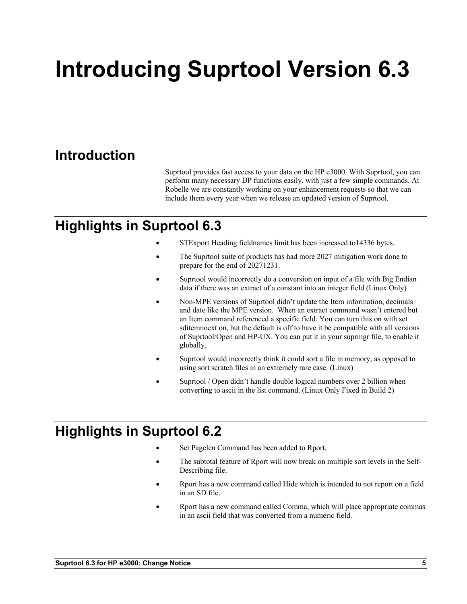# **Introducing Suprtool Version 6.3**

## **Introduction**

Suprtool provides fast access to your data on the HP e3000. With Suprtool, you can perform many necessary DP functions easily, with just a few simple commands. At Robelle we are constantly working on your enhancement requests so that we can include them every year when we release an updated version of Suprtool.

## **Highlights in Suprtool 6.3**

- STExport Heading fieldnames limit has been increased to14336 bytes.
- The Suprtool suite of products has had more 2027 mitigation work done to prepare for the end of 20271231.
- Suprtool would incorrectly do a conversion on input of a file with Big Endian data if there was an extract of a constant into an integer field (Linux Only)
- Non-MPE versions of Suprtool didn't update the Item information, decimals and date like the MPE version. When an extract command wasn't entered but an Item command referenced a specific field. You can turn this on with set sditemnoext on, but the default is off to have it be compatible with all versions of Suprtool/Open and HP-UX. You can put it in your suprmgr file, to enable it globally.
- Suprtool would incorrectly think it could sort a file in memory, as opposed to using sort scratch files in an extremely rare case. (Linux)
- Suprtool / Open didn't handle double logical numbers over 2 billion when converting to ascii in the list command. (Linux Only Fixed in Build 2)

### **Highlights in Suprtool 6.2**

- Set Pagelen Command has been added to Rport.
- The subtotal feature of Rport will now break on multiple sort levels in the Self-Describing file.
- Rport has a new command called Hide which is intended to not report on a field in an SD file.
- Rport has a new command called Comma, which will place appropriate commas in an ascii field that was converted from a numeric field.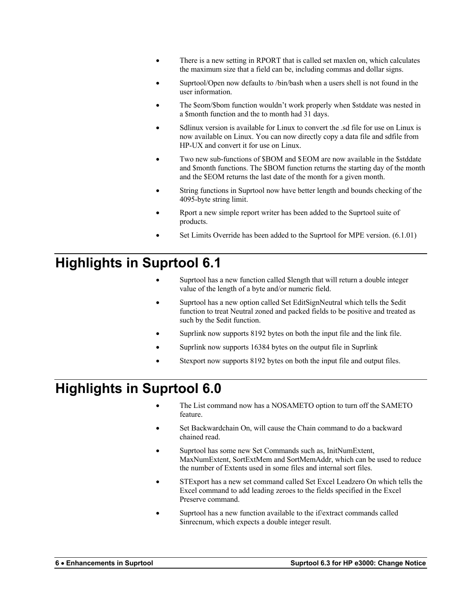- There is a new setting in RPORT that is called set maxlen on, which calculates the maximum size that a field can be, including commas and dollar signs.
- Suprtool/Open now defaults to /bin/bash when a users shell is not found in the user information.
- The \$eom/\$bom function wouldn't work properly when \$stddate was nested in a \$month function and the to month had 31 days.
- Sdlinux version is available for Linux to convert the .sd file for use on Linux is now available on Linux. You can now directly copy a data file and sdfile from HP-UX and convert it for use on Linux.
- Two new sub-functions of \$BOM and \$EOM are now available in the \$stddate and \$month functions. The \$BOM function returns the starting day of the month and the \$EOM returns the last date of the month for a given month.
- String functions in Suprtool now have better length and bounds checking of the 4095-byte string limit.
- Rport a new simple report writer has been added to the Suprtool suite of products.
- Set Limits Override has been added to the Suprtool for MPE version. (6.1.01)

## **Highlights in Suprtool 6.1**

- Suprtool has a new function called \$length that will return a double integer value of the length of a byte and/or numeric field.
- Suprtool has a new option called Set EditSignNeutral which tells the \$edit function to treat Neutral zoned and packed fields to be positive and treated as such by the \$edit function.
- Suprlink now supports 8192 bytes on both the input file and the link file.
- Suprlink now supports 16384 bytes on the output file in Suprlink
- Stexport now supports 8192 bytes on both the input file and output files.

## **Highlights in Suprtool 6.0**

- The List command now has a NOSAMETO option to turn off the SAMETO feature.
- Set Backwardchain On, will cause the Chain command to do a backward chained read.
- Suprtool has some new Set Commands such as, InitNumExtent, MaxNumExtent, SortExtMem and SortMemAddr, which can be used to reduce the number of Extents used in some files and internal sort files.
- STExport has a new set command called Set Excel Leadzero On which tells the Excel command to add leading zeroes to the fields specified in the Excel Preserve command.
- Suprtool has a new function available to the if/extract commands called \$inrecnum, which expects a double integer result.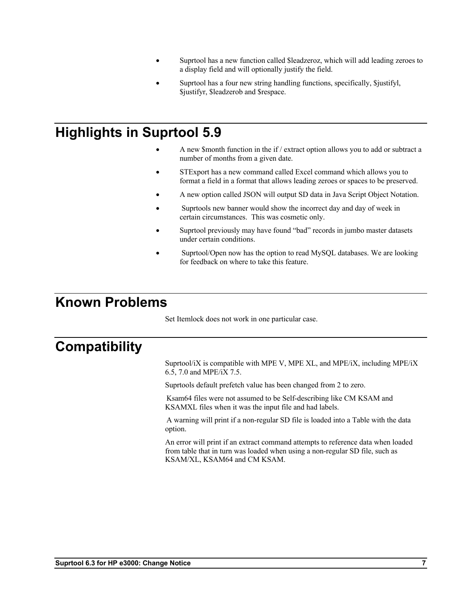- Suprtool has a new function called \$leadzeroz, which will add leading zeroes to a display field and will optionally justify the field.
- Suprtool has a four new string handling functions, specifically, \$justifyl, \$justifyr, \$leadzerob and \$respace.

## **Highlights in Suprtool 5.9**

- A new \$month function in the if / extract option allows you to add or subtract a number of months from a given date.
- STExport has a new command called Excel command which allows you to format a field in a format that allows leading zeroes or spaces to be preserved.
- A new option called JSON will output SD data in Java Script Object Notation.
- Suprtools new banner would show the incorrect day and day of week in certain circumstances. This was cosmetic only.
- Suprtool previously may have found "bad" records in jumbo master datasets under certain conditions.
- Suprtool/Open now has the option to read MySQL databases. We are looking for feedback on where to take this feature.

### **Known Problems**

Set Itemlock does not work in one particular case.

## **Compatibility**

Suprtool/iX is compatible with MPE V, MPE XL, and MPE/iX, including MPE/iX 6.5, 7.0 and MPE/iX 7.5.

Suprtools default prefetch value has been changed from 2 to zero.

Ksam64 files were not assumed to be Self-describing like CM KSAM and KSAMXL files when it was the input file and had labels.

A warning will print if a non-regular SD file is loaded into a Table with the data option.

An error will print if an extract command attempts to reference data when loaded from table that in turn was loaded when using a non-regular SD file, such as KSAM/XL, KSAM64 and CM KSAM.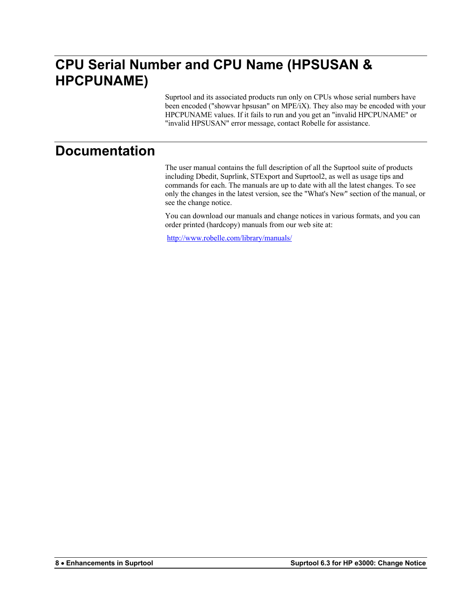## **CPU Serial Number and CPU Name (HPSUSAN & HPCPUNAME)**

Suprtool and its associated products run only on CPUs whose serial numbers have been encoded ("showvar hpsusan" on MPE/iX). They also may be encoded with your HPCPUNAME values. If it fails to run and you get an "invalid HPCPUNAME" or "invalid HPSUSAN" error message, contact Robelle for assistance.

## **Documentation**

The user manual contains the full description of all the Suprtool suite of products including Dbedit, Suprlink, STExport and Suprtool2, as well as usage tips and commands for each. The manuals are up to date with all the latest changes. To see only the changes in the latest version, see the "What's New" section of the manual, or see the change notice.

You can download our manuals and change notices in various formats, and you can order printed (hardcopy) manuals from our web site at:

http://www.robelle.com/library/manuals/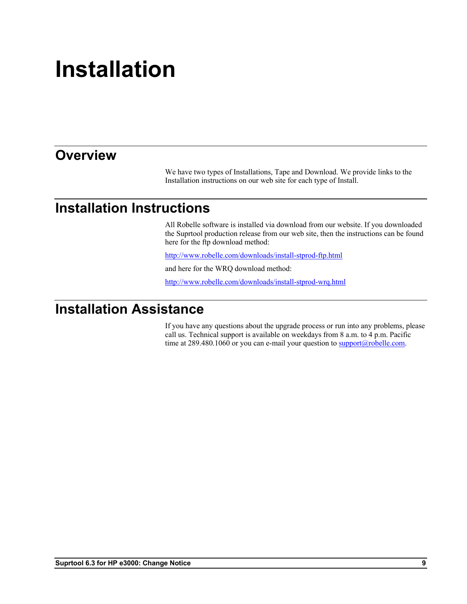## **Installation**

#### **Overview**

We have two types of Installations, Tape and Download. We provide links to the Installation instructions on our web site for each type of Install.

### **Installation Instructions**

All Robelle software is installed via download from our website. If you downloaded the Suprtool production release from our web site, then the instructions can be found here for the ftp download method:

http://www.robelle.com/downloads/install-stprod-ftp.html

and here for the WRQ download method:

http://www.robelle.com/downloads/install-stprod-wrq.html

### **Installation Assistance**

If you have any questions about the upgrade process or run into any problems, please call us. Technical support is available on weekdays from 8 a.m. to 4 p.m. Pacific time at  $289.480.1060$  or you can e-mail your question to  $\frac{\text{support}(a) \text{rolelle.com}}{\text{output}(a)}$ .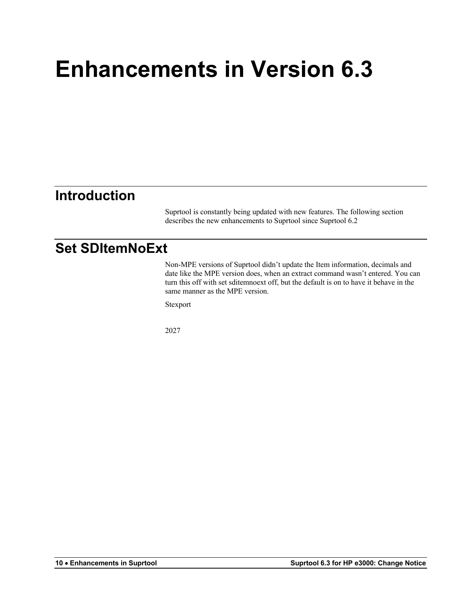# **Enhancements in Version 6.3**

### **Introduction**

Suprtool is constantly being updated with new features. The following section describes the new enhancements to Suprtool since Suprtool 6.2

## **Set SDItemNoExt**

Non-MPE versions of Suprtool didn't update the Item information, decimals and date like the MPE version does, when an extract command wasn't entered. You can turn this off with set sditemnoext off, but the default is on to have it behave in the same manner as the MPE version.

Stexport

2027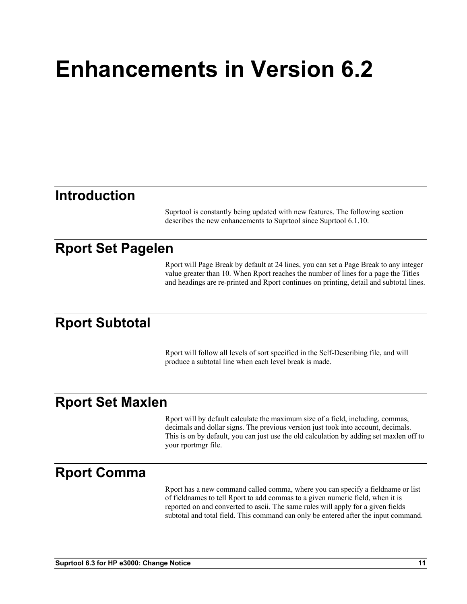## **Enhancements in Version 6.2**

#### **Introduction**

Suprtool is constantly being updated with new features. The following section describes the new enhancements to Suprtool since Suprtool 6.1.10.

#### **Rport Set Pagelen**

Rport will Page Break by default at 24 lines, you can set a Page Break to any integer value greater than 10. When Rport reaches the number of lines for a page the Titles and headings are re-printed and Rport continues on printing, detail and subtotal lines.

#### **Rport Subtotal**

Rport will follow all levels of sort specified in the Self-Describing file, and will produce a subtotal line when each level break is made.

#### **Rport Set Maxlen**

Rport will by default calculate the maximum size of a field, including, commas, decimals and dollar signs. The previous version just took into account, decimals. This is on by default, you can just use the old calculation by adding set maxlen off to your rportmgr file.

#### **Rport Comma**

Rport has a new command called comma, where you can specify a fieldname or list of fieldnames to tell Rport to add commas to a given numeric field, when it is reported on and converted to ascii. The same rules will apply for a given fields subtotal and total field. This command can only be entered after the input command.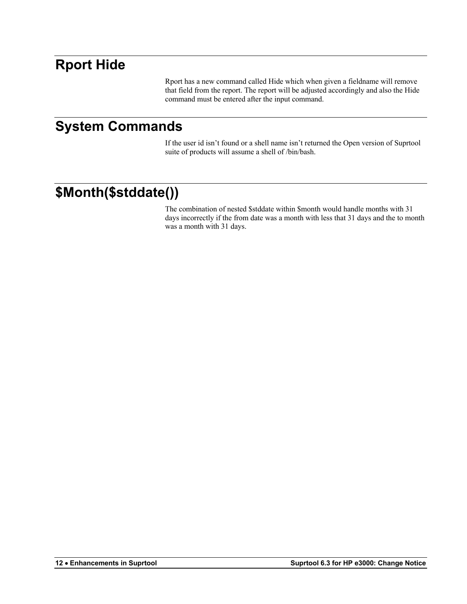## **Rport Hide**

Rport has a new command called Hide which when given a fieldname will remove that field from the report. The report will be adjusted accordingly and also the Hide command must be entered after the input command.

## **System Commands**

If the user id isn't found or a shell name isn't returned the Open version of Suprtool suite of products will assume a shell of /bin/bash.

## **\$Month(\$stddate())**

The combination of nested \$stddate within \$month would handle months with 31 days incorrectly if the from date was a month with less that 31 days and the to month was a month with 31 days.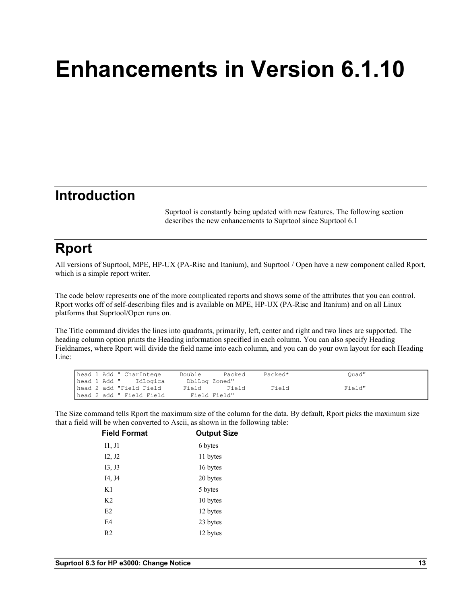## **Enhancements in Version 6.1.10**

#### **Introduction**

Suprtool is constantly being updated with new features. The following section describes the new enhancements to Suprtool since Suprtool 6.1

### **Rport**

All versions of Suprtool, MPE, HP-UX (PA-Risc and Itanium), and Suprtool / Open have a new component called Rport, which is a simple report writer.

The code below represents one of the more complicated reports and shows some of the attributes that you can control. Rport works off of self-describing files and is available on MPE, HP-UX (PA-Risc and Itanium) and on all Linux platforms that Suprtool/Open runs on.

The Title command divides the lines into quadrants, primarily, left, center and right and two lines are supported. The heading column option prints the Heading information specified in each column. You can also specify Heading Fieldnames, where Rport will divide the field name into each column, and you can do your own layout for each Heading Line:

| head 1 Add " CharIntege  | Double<br>Packed | Packed* | Ouad"  |
|--------------------------|------------------|---------|--------|
| head 1 Add " IdLogica    | DblLog Zoned"    |         |        |
| head 2 add "Field Field  | Field<br>Field   | Field   | Field" |
| head 2 add " Field Field | Field Field"     |         |        |

The Size command tells Rport the maximum size of the column for the data. By default, Rport picks the maximum size that a field will be when converted to Ascii, as shown in the following table:

| <b>Field Format</b> | <b>Output Size</b> |
|---------------------|--------------------|
| I1, J1              | 6 bytes            |
| I2, J2              | 11 bytes           |
| I3, J3              | 16 bytes           |
| I4, J4              | 20 bytes           |
| K1                  | 5 bytes            |
| K <sub>2</sub>      | 10 bytes           |
| E2                  | 12 bytes           |
| E <sub>4</sub>      | 23 bytes           |
| R <sub>2</sub>      | 12 bytes           |
|                     |                    |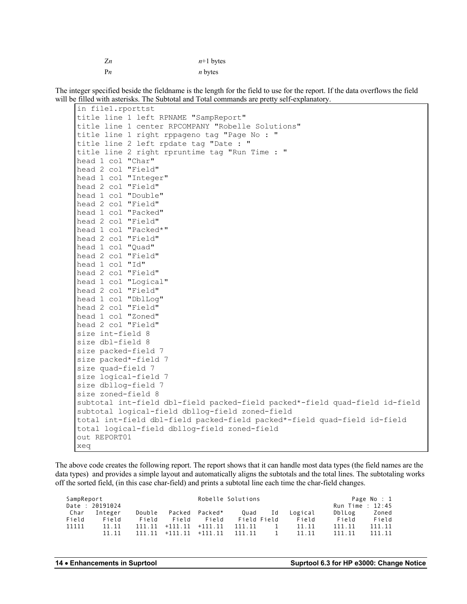| $Z_n$          | $n+1$ bytes |
|----------------|-------------|
| P <sub>n</sub> | $n$ bytes   |

The integer specified beside the fieldname is the length for the field to use for the report. If the data overflows the field will be filled with asterisks. The Subtotal and Total commands are pretty self-explanatory.

| in file1.rporttst                                                           |
|-----------------------------------------------------------------------------|
| title line 1 left RPNAME "SampReport"                                       |
| title line 1 center RPCOMPANY "Robelle Solutions"                           |
| title line 1 right rppageno tag "Page No : "                                |
| title line 2 left rpdate tag "Date : "                                      |
| title line 2 right rpruntime tag "Run Time : "                              |
| head 1 col "Char"                                                           |
| head 2 col "Field"                                                          |
| head 1 col "Integer"                                                        |
| head 2 col "Field"                                                          |
| head 1 col "Double"                                                         |
| head 2 col "Field"                                                          |
| head 1 col "Packed"                                                         |
| head 2 col "Field"                                                          |
| head 1 col "Packed*"                                                        |
| head 2 col "Field"                                                          |
| head 1 col "Quad"                                                           |
| head 2 col "Field"                                                          |
| head 1 col "Id"                                                             |
| head 2 col "Field"                                                          |
| head 1 col "Logical"                                                        |
| head 2 col "Field"                                                          |
| head 1 col "DblLoq"                                                         |
| head 2 col "Field"                                                          |
| head 1 col "Zoned"                                                          |
| head 2 col "Field"                                                          |
| size int-field 8                                                            |
| size dbl-field 8                                                            |
| size packed-field 7                                                         |
| size packed*-field 7                                                        |
| size quad-field 7                                                           |
| size logical-field 7                                                        |
| size dbllog-field 7                                                         |
| size zoned-field 8                                                          |
| subtotal int-field dbl-field packed-field packed*-field quad-field id-field |
| subtotal logical-field dbllog-field zoned-field                             |
| total int-field dbl-field packed-field packed*-field quad-field id-field    |
| total logical-field dbllog-field zoned-field                                |
| out REPORT01                                                                |
| xeq                                                                         |

The above code creates the following report. The report shows that it can handle most data types (the field names are the data types) and provides a simple layout and automatically aligns the subtotals and the total lines. The subtotaling works off the sorted field, (in this case char-field) and prints a subtotal line each time the char-field changes.

| SampReport             | Date : 20191024                    |                                     |                                           |                                            | Robelle Solutions                       |    |                                    | Run Time : 12:45                    | Page No : 1                        |
|------------------------|------------------------------------|-------------------------------------|-------------------------------------------|--------------------------------------------|-----------------------------------------|----|------------------------------------|-------------------------------------|------------------------------------|
| Char<br>Field<br>11111 | Integer<br>Field<br>11.11<br>11 11 | Double<br>Field<br>111.11<br>111 11 | Packed<br>Field<br>$+111.11$<br>$+111$ 11 | Packed*<br>Field<br>$+111.11$<br>$+111$ 11 | Ouad<br>Field Field<br>111.11<br>111.11 | Id | Logical<br>Field<br>11.11<br>11 11 | DblLog<br>Field<br>111.11<br>111 11 | Zoned<br>Field<br>111.11<br>111 11 |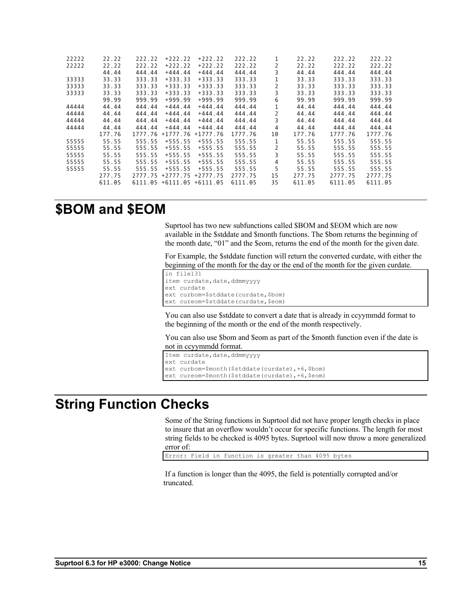| 22222 | 22.22  | 222.22  | $+222.22$  | $+222.22$  | 222.22  |    | 22.22  | 222.22  | 222.22  |
|-------|--------|---------|------------|------------|---------|----|--------|---------|---------|
| 22222 | 22.22  | 222.22  | $+222.22$  | $+222.22$  | 222.22  |    | 22.22  | 222.22  | 222.22  |
|       | 44.44  | 444.44  | $+444.44$  | $+444.44$  | 444.44  |    | 44.44  | 444.44  | 444.44  |
| 33333 | 33.33  | 333.33  | $+333.33$  | $+333.33$  | 333.33  |    | 33.33  | 333.33  | 333.33  |
| 33333 | 33.33  | 333.33  | $+333.33$  | $+333.33$  | 333.33  |    | 33.33  | 333.33  | 333.33  |
| 33333 | 33.33  | 333.33  | $+333.33$  | $+333.33$  | 333.33  | 3  | 33.33  | 333.33  | 333.33  |
|       | 99.99  | 999.99  | $+999.99$  | $+999.99$  | 999.99  | 6  | 99.99  | 999.99  | 999.99  |
| 44444 | 44.44  | 444.44  | $+444.44$  | $+444.44$  | 444.44  |    | 44.44  | 444.44  | 444.44  |
| 44444 | 44.44  | 444.44  | $+444.44$  | $+444.44$  | 444.44  | 2  | 44.44  | 444.44  | 444.44  |
| 44444 | 44.44  | 444.44  | $+444.44$  | $+444.44$  | 444.44  | 3  | 44.44  | 444.44  | 444.44  |
| 44444 | 44.44  | 444.44  | $+444.44$  | $+444.44$  | 444.44  | 4  | 44.44  | 444.44  | 444.44  |
|       | 177.76 | 1777.76 | +1777.76   | $+1777.76$ | 1777.76 | 10 | 177.76 | 1777.76 | 1777.76 |
| 55555 | 55.55  | 555.55  | $+555.55$  | $+555.55$  | 555.55  |    | 55.55  | 555.55  | 555.55  |
| 55555 | 55.55  | 555.55  | $+555.55$  | $+555.55$  | 555.55  | 2  | 55.55  | 555.55  | 555.55  |
| 55555 | 55.55  | 555.55  | $+555.55$  | $+555.55$  | 555.55  | 3  | 55.55  | 555.55  | 555.55  |
| 55555 | 55.55  | 555.55  | $+555.55$  | $+555.55$  | 555.55  | 4  | 55.55  | 555.55  | 555.55  |
| 55555 | 55.55  | 555.55  | $+555.55$  | $+555.55$  | 555.55  | 5  | 55.55  | 555.55  | 555.55  |
|       | 277.75 | 2777.75 | +2777.75   | $+2777.75$ | 2777.75 | 15 | 277.75 | 2777.75 | 2777.75 |
|       | 611.05 | 6111.05 | $+6111.05$ | $+6111.05$ | 6111.05 | 35 | 611.05 | 6111.05 | 6111.05 |
|       |        |         |            |            |         |    |        |         |         |

#### **\$BOM and \$EOM**

Suprtool has two new subfunctions called \$BOM and \$EOM which are now available in the \$stddate and \$month functions. The \$bom returns the beginning of the month date, "01" and the \$eom, returns the end of the month for the given date.

For Example, the \$stddate function will return the converted curdate, with either the beginning of the month for the day or the end of the month for the given curdate.

```
in file131
item curdate, date, ddmmyyyy
ext curdate
ext curbom=$stddate(curdate,$bom)
ext cureom=$stddate(curdate, $eom)
```
You can also use \$stddate to convert a date that is already in ccyymmdd format to the beginning of the month or the end of the month respectively.

You can also use \$bom and \$eom as part of the \$month function even if the date is not in ccyymmdd format.

```
Item curdate, date, ddmmyyyy
ext curdate
ext curbom=$month($stddate(curdate), +6, $bom)
ext cureom=$month($stddate(curdate), +6, $eom)
```
## **String Function Checks**

Some of the String functions in Suprtool did not have proper length checks in place to insure that an overflow wouldn't occur for specific functions. The length for most string fields to be checked is 4095 bytes. Suprtool will now throw a more generalized error of:

Error: Field in function is greater than 4095 bytes

If a function is longer than the 4095, the field is potentially corrupted and/or truncated.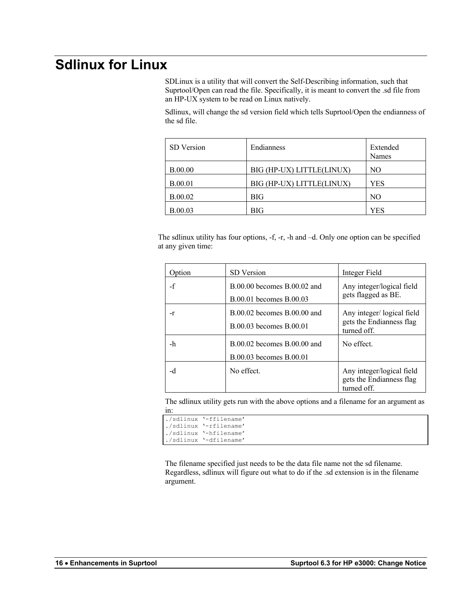## **Sdlinux for Linux**

SDLinux is a utility that will convert the Self-Describing information, such that Suprtool/Open can read the file. Specifically, it is meant to convert the .sd file from an HP-UX system to be read on Linux natively.

Sdlinux, will change the sd version field which tells Suprtool/Open the endianness of the sd file.

| SD Version     | Endianness                | Extended<br>Names |
|----------------|---------------------------|-------------------|
| <b>B.00.00</b> | BIG (HP-UX) LITTLE(LINUX) | NO                |
| <b>B.00.01</b> | BIG (HP-UX) LITTLE(LINUX) | <b>YES</b>        |
| B.00.02        | <b>BIG</b>                | N <sub>O</sub>    |
| <b>B.00.03</b> | BIG                       | YES               |

The sdlinux utility has four options, -f, -r, -h and –d. Only one option can be specified at any given time:

| Option | SD Version                                                 | Integer Field                                                        |
|--------|------------------------------------------------------------|----------------------------------------------------------------------|
| $-f$   | $B.00.00$ becomes $B.00.02$ and<br>B.00.01 becomes B.00.03 | Any integer/logical field<br>gets flagged as BE.                     |
| -r     | B.00.02 becomes B.00.00 and<br>B.00.03 becomes B.00.01     | Any integer/logical field<br>gets the Endianness flag<br>turned off. |
| -h     | $B.00.02$ becomes $B.00.00$ and<br>B.00.03 becomes B.00.01 | No effect.                                                           |
| -d     | No effect.                                                 | Any integer/logical field<br>gets the Endianness flag<br>turned off. |

The sdlinux utility gets run with the above options and a filename for an argument as in:

```
./sdlinux '-ffilename'
./sdlinux '-rfilename'
./sdlinux '-hfilename'
./sdlinux '-dfilename'
```
The filename specified just needs to be the data file name not the sd filename. Regardless, sdlinux will figure out what to do if the .sd extension is in the filename argument.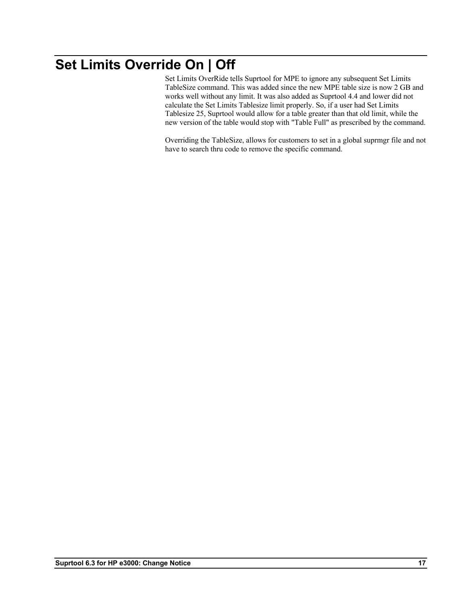## **Set Limits Override On | Off**

Set Limits OverRide tells Suprtool for MPE to ignore any subsequent Set Limits TableSize command. This was added since the new MPE table size is now 2 GB and works well without any limit. It was also added as Suprtool 4.4 and lower did not calculate the Set Limits Tablesize limit properly. So, if a user had Set Limits Tablesize 25, Suprtool would allow for a table greater than that old limit, while the new version of the table would stop with "Table Full" as prescribed by the command.

Overriding the TableSize, allows for customers to set in a global suprmgr file and not have to search thru code to remove the specific command.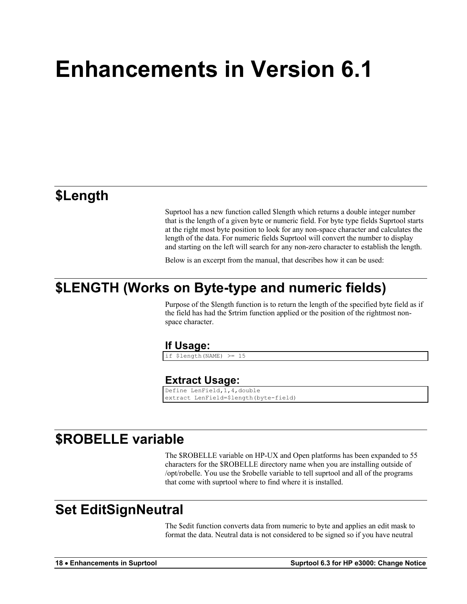## **Enhancements in Version 6.1**

#### **\$Length**

Suprtool has a new function called \$length which returns a double integer number that is the length of a given byte or numeric field. For byte type fields Suprtool starts at the right most byte position to look for any non-space character and calculates the length of the data. For numeric fields Suprtool will convert the number to display and starting on the left will search for any non-zero character to establish the length.

Below is an excerpt from the manual, that describes how it can be used:

## **\$LENGTH (Works on Byte-type and numeric fields)**

Purpose of the \$length function is to return the length of the specified byte field as if the field has had the \$rtrim function applied or the position of the rightmost nonspace character.

#### **If Usage:**

if \$length(NAME) >= 15

#### **Extract Usage:**

```
Define LenField,1,4,double
extract LenField=$length(byte-field)
```
#### **\$ROBELLE variable**

The \$ROBELLE variable on HP-UX and Open platforms has been expanded to 55 characters for the \$ROBELLE directory name when you are installing outside of /opt/robelle. You use the \$robelle variable to tell suprtool and all of the programs that come with suprtool where to find where it is installed.

#### **Set EditSignNeutral**

The \$edit function converts data from numeric to byte and applies an edit mask to format the data. Neutral data is not considered to be signed so if you have neutral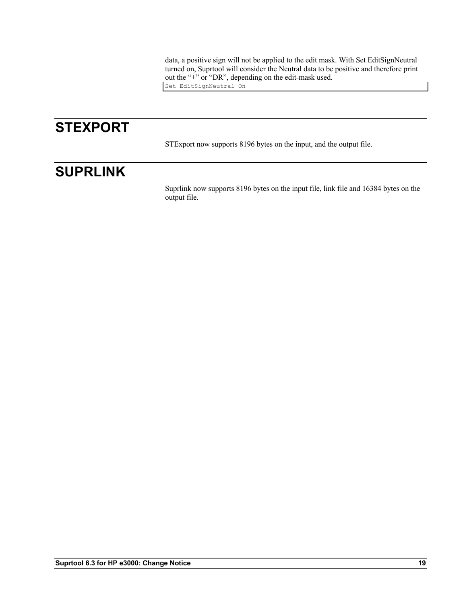data, a positive sign will not be applied to the edit mask. With Set EditSignNeutral turned on, Suprtool will consider the Neutral data to be positive and therefore print out the "+" or "DR", depending on the edit-mask used.

Set EditSignNeutral On

## **STEXPORT**

STExport now supports 8196 bytes on the input, and the output file.

## **SUPRLINK**

Suprlink now supports 8196 bytes on the input file, link file and 16384 bytes on the output file.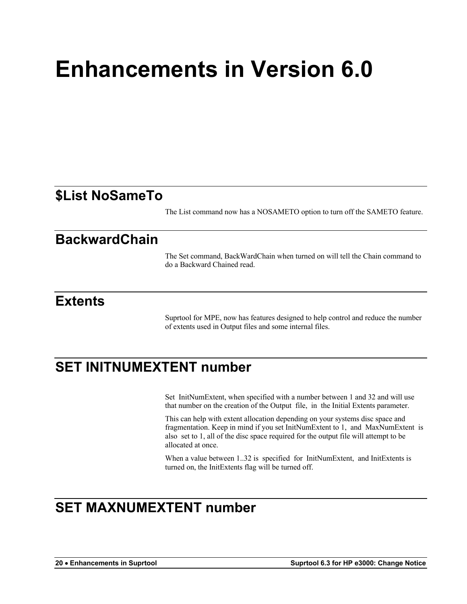# **Enhancements in Version 6.0**

### **\$List NoSameTo**

The List command now has a NOSAMETO option to turn off the SAMETO feature.

#### **BackwardChain**

The Set command, BackWardChain when turned on will tell the Chain command to do a Backward Chained read.

#### **Extents**

Suprtool for MPE, now has features designed to help control and reduce the number of extents used in Output files and some internal files.

## **SET INITNUMEXTENT number**

Set InitNumExtent, when specified with a number between 1 and 32 and will use that number on the creation of the Output file, in the Initial Extents parameter.

This can help with extent allocation depending on your systems disc space and fragmentation. Keep in mind if you set InitNumExtent to 1, and MaxNumExtent is also set to 1, all of the disc space required for the output file will attempt to be allocated at once.

When a value between 1..32 is specified for InitNumExtent, and InitExtents is turned on, the InitExtents flag will be turned off.

## **SET MAXNUMEXTENT number**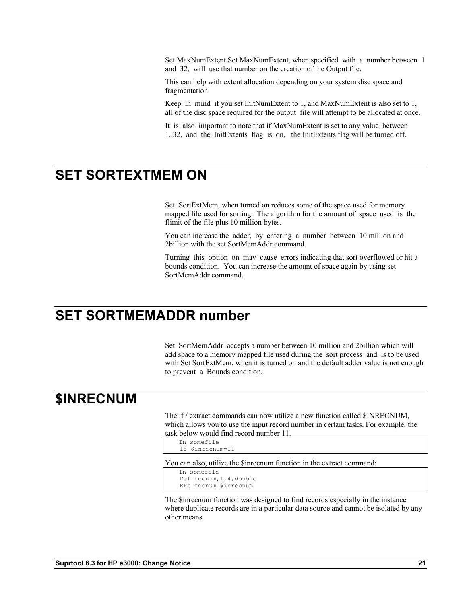Set MaxNumExtent Set MaxNumExtent, when specified with a number between 1 and 32, will use that number on the creation of the Output file.

This can help with extent allocation depending on your system disc space and fragmentation.

Keep in mind if you set InitNumExtent to 1, and MaxNumExtent is also set to 1, all of the disc space required for the output file will attempt to be allocated at once.

It is also important to note that if MaxNumExtent is set to any value between 1..32, and the InitExtents flag is on, the InitExtents flag will be turned off.

## **SET SORTEXTMEM ON**

Set SortExtMem, when turned on reduces some of the space used for memory mapped file used for sorting. The algorithm for the amount of space used is the flimit of the file plus 10 million bytes.

You can increase the adder, by entering a number between 10 million and 2billion with the set SortMemAddr command.

Turning this option on may cause errors indicating that sort overflowed or hit a bounds condition. You can increase the amount of space again by using set SortMemAddr command.

#### **SET SORTMEMADDR number**

Set SortMemAddr accepts a number between 10 million and 2billion which will add space to a memory mapped file used during the sort process and is to be used with Set SortExtMem, when it is turned on and the default adder value is not enough to prevent a Bounds condition.

### **\$INRECNUM**

The if / extract commands can now utilize a new function called \$INRECNUM, which allows you to use the input record number in certain tasks. For example, the task below would find record number 11.

```
In somefile
 If $inrecnum=11
```
You can also, utilize the \$inrecnum function in the extract command:

```
In somefile
 Def recnum,1,4,double
```

```
 Ext recnum=$inrecnum
```
The \$inrecnum function was designed to find records especially in the instance where duplicate records are in a particular data source and cannot be isolated by any other means.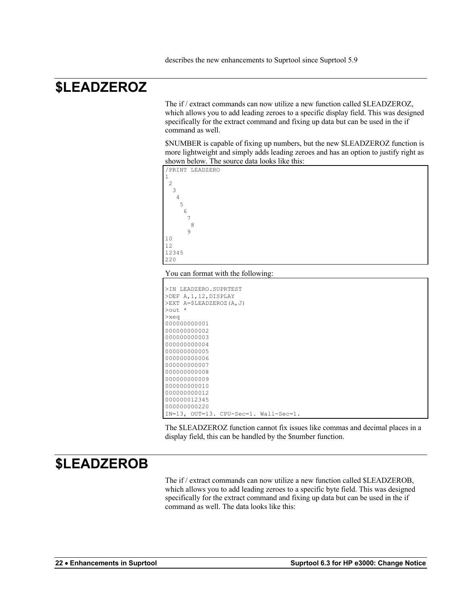## **\$LEADZEROZ**

The if / extract commands can now utilize a new function called \$LEADZEROZ, which allows you to add leading zeroes to a specific display field. This was designed specifically for the extract command and fixing up data but can be used in the if command as well.

\$NUMBER is capable of fixing up numbers, but the new \$LEADZEROZ function is more lightweight and simply adds leading zeroes and has an option to justify right as shown below. The source data looks like this:



#### You can format with the following:

```
>IN LEADZERO.SUPRTEST
>DEF A,1,12,DISPLAY
>EXT A=$LEADZEROZ(A,J)
>out *
>xeq
00000000001
000000000002
000000000003
000000000004
000000000005
000000000006
000000000007
000000000008
000000000009
000000000010
000000000012
000000012345
000000000220
IN=13, OUT=13. CPU-Sec=1. Wall-Sec=1.
```
The \$LEADZEROZ function cannot fix issues like commas and decimal places in a display field, this can be handled by the \$number function.

### **\$LEADZEROB**

The if / extract commands can now utilize a new function called \$LEADZEROB, which allows you to add leading zeroes to a specific byte field. This was designed specifically for the extract command and fixing up data but can be used in the if command as well. The data looks like this: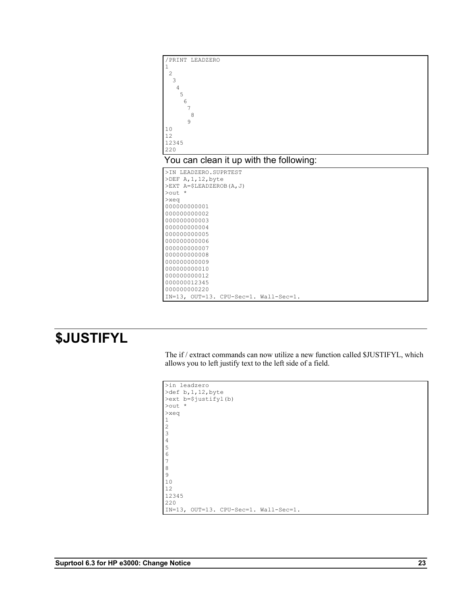

## **\$JUSTIFYL**

The if / extract commands can now utilize a new function called \$JUSTIFYL, which allows you to left justify text to the left side of a field.

```
>in leadzero
>def b,1,12,byte
\text{Text } b = \frac{1}{2} \text{ustifyl}(b)
>out
>xeq
1
2
3
4
5
6
7
8
9
10
12
12345
220
IN=13, OUT=13. CPU-Sec=1. Wall-Sec=1.
```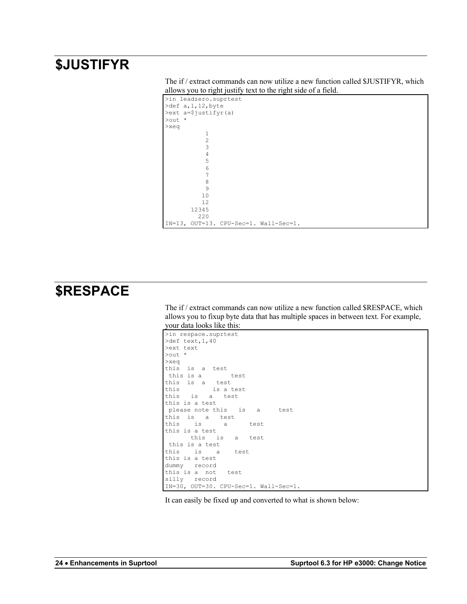## **\$JUSTIFYR**

|                                                                |  |  | The if / extract commands can now utilize a new function called \$JUSTIFYR, which |  |
|----------------------------------------------------------------|--|--|-----------------------------------------------------------------------------------|--|
| allows you to right justify text to the right side of a field. |  |  |                                                                                   |  |

```
>in leadzero.suprtest
>def a,1,12,byte
>ext a=$justifyr(a)
>out *
>xeq
 1
 2
 3
 4
 5
 6
 7
 8
 9
      10
      12
     12345
       220
IN=13, OUT=13. CPU-Sec=1. Wall-Sec=1.
```
### **\$RESPACE**

The if / extract commands can now utilize a new function called \$RESPACE, which allows you to fixup byte data that has multiple spaces in between text. For example, your data looks like this:

```
>in respace.suprtest
>def text, 1,40
>ext text
>out *
>xeq
this is a test
this is a test<br>this is a test
this is a<br>this
         is a test
this is a test
this is a test
please note this is a test
this is a test
this is a test
this is a test
      this is a test
this is a test
this is a test
this is a test
dummy record
this is a not test
silly record
IN=30, OUT=30. CPU-Sec=1. Wall-Sec=1.
```
It can easily be fixed up and converted to what is shown below: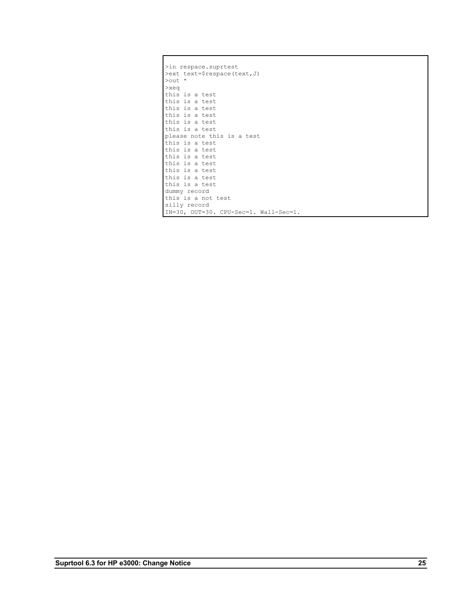| >in respace.suprtest                  |  |  |  |  |  |  |  |
|---------------------------------------|--|--|--|--|--|--|--|
| >ext text=\$respace(text, J)          |  |  |  |  |  |  |  |
| $\text{Out}$ *                        |  |  |  |  |  |  |  |
| $>$ xeq                               |  |  |  |  |  |  |  |
| this is a test                        |  |  |  |  |  |  |  |
| this is a test                        |  |  |  |  |  |  |  |
| this is a test                        |  |  |  |  |  |  |  |
| this is a test                        |  |  |  |  |  |  |  |
| this is a test                        |  |  |  |  |  |  |  |
| this is a test                        |  |  |  |  |  |  |  |
| please note this is a test            |  |  |  |  |  |  |  |
| this is a test                        |  |  |  |  |  |  |  |
| this is a test                        |  |  |  |  |  |  |  |
| this is a test                        |  |  |  |  |  |  |  |
| this is a test                        |  |  |  |  |  |  |  |
| this is a test                        |  |  |  |  |  |  |  |
| this is a test                        |  |  |  |  |  |  |  |
| this is a test                        |  |  |  |  |  |  |  |
| dummy record                          |  |  |  |  |  |  |  |
| this is a not test                    |  |  |  |  |  |  |  |
| silly record                          |  |  |  |  |  |  |  |
| IN=30, OUT=30. CPU-Sec=1. Wall-Sec=1. |  |  |  |  |  |  |  |

 $\overline{\Gamma}$